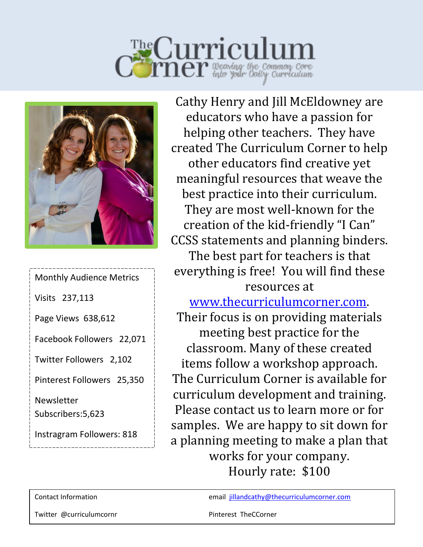



Monthly Audience Metrics Visits 237,113 Page Views 638,612 Facebook Followers 22,071 Twitter Followers 2,102 Pinterest Followers 25,350 Newsletter Subscribers:5,623 Instragram Followers: 818

Cathy Henry and Jill McEldowney are educators who have a passion for helping other teachers. They have created The Curriculum Corner to help other educators find creative yet meaningful resources that weave the best practice into their curriculum. They are most well-known for the creation of the kid-friendly "I Can" CCSS statements and planning binders. The best part for teachers is that everything is free! You will find these resources at

[www.thecurriculumcorner.com.](http://www.thecurriculumcorner.com/) Their focus is on providing materials meeting best practice for the classroom. Many of these created items follow a workshop approach. The Curriculum Corner is available for curriculum development and training. Please contact us to learn more or for samples. We are happy to sit down for a planning meeting to make a plan that works for your company. Hourly rate: \$100

Contact Information email [jillandcathy@thecurriculumcorner.com](mailto:jillandcathy@thecurriculumcorner.com)

Twitter @curriculumcornr Pinterest TheCCorner